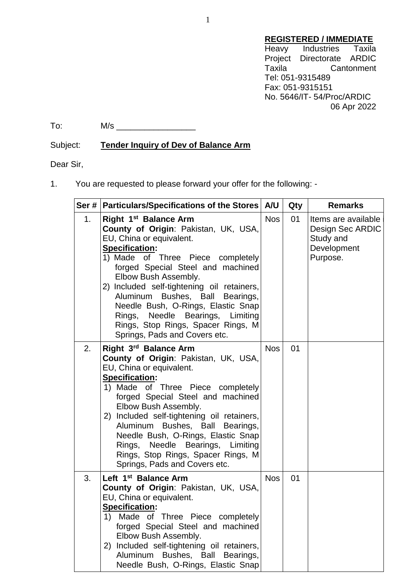## **REGISTERED / IMMEDIATE**

Heavy Industries Taxila Project Directorate ARDIC<br>Taxila Cantonment Cantonment Tel: 051-9315489 Fax: 051-9315151 No. 5646/IT- 54/Proc/ARDIC 06 Apr 2022

 $\text{To:} \qquad \qquad \mathsf{M/s}$ 

## Subject: **Tender Inquiry of Dev of Balance Arm**

Dear Sir,

1. You are requested to please forward your offer for the following: -

|    | Ser #   Particulars/Specifications of the Stores   A/U                                                                                                                                                                                                                                                                                                                                                                                                                    |            | Qty | <b>Remarks</b>                                                                  |
|----|---------------------------------------------------------------------------------------------------------------------------------------------------------------------------------------------------------------------------------------------------------------------------------------------------------------------------------------------------------------------------------------------------------------------------------------------------------------------------|------------|-----|---------------------------------------------------------------------------------|
| 1. | Right 1 <sup>st</sup> Balance Arm<br>County of Origin: Pakistan, UK, USA,<br>EU, China or equivalent.<br><b>Specification:</b><br>1) Made of Three Piece completely<br>forged Special Steel and machined<br>Elbow Bush Assembly.<br>2) Included self-tightening oil retainers,<br>Aluminum Bushes, Ball Bearings,<br>Needle Bush, O-Rings, Elastic Snap<br>Rings, Needle Bearings, Limiting<br>Rings, Stop Rings, Spacer Rings, M<br>Springs, Pads and Covers etc.        | <b>Nos</b> | 01  | Items are available<br>Design Sec ARDIC<br>Study and<br>Development<br>Purpose. |
| 2. | Right 3 <sup>rd</sup> Balance Arm<br><b>County of Origin: Pakistan, UK, USA,</b><br>EU, China or equivalent.<br><b>Specification:</b><br>1) Made of Three Piece completely<br>forged Special Steel and machined<br>Elbow Bush Assembly.<br>2) Included self-tightening oil retainers,<br>Aluminum Bushes, Ball Bearings,<br>Needle Bush, O-Rings, Elastic Snap<br>Rings, Needle Bearings, Limiting<br>Rings, Stop Rings, Spacer Rings, M<br>Springs, Pads and Covers etc. | <b>Nos</b> | 01  |                                                                                 |
| 3. | Left 1 <sup>st</sup> Balance Arm<br>County of Origin: Pakistan, UK, USA,<br>EU, China or equivalent.<br><b>Specification:</b><br>Made of Three Piece completely<br>1)<br>forged Special Steel and machined<br>Elbow Bush Assembly.<br>2) Included self-tightening oil retainers,<br>Aluminum<br>Bushes, Ball<br>Bearings,<br>Needle Bush, O-Rings, Elastic Snap                                                                                                           | <b>Nos</b> | 01  |                                                                                 |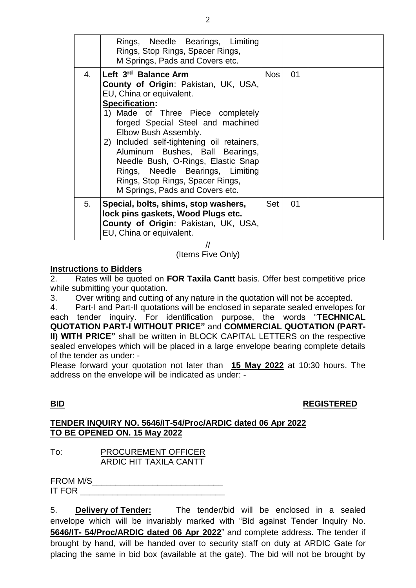|    | Rings, Needle Bearings, Limiting<br>Rings, Stop Rings, Spacer Rings,<br>M Springs, Pads and Covers etc.                                                                                                                                                                                                                                                                                                                                                      |            |    |  |
|----|--------------------------------------------------------------------------------------------------------------------------------------------------------------------------------------------------------------------------------------------------------------------------------------------------------------------------------------------------------------------------------------------------------------------------------------------------------------|------------|----|--|
| 4. | Left 3rd Balance Arm<br><b>County of Origin: Pakistan, UK, USA,</b><br>EU, China or equivalent.<br><b>Specification:</b><br>1) Made of Three Piece completely<br>forged Special Steel and machined<br>Elbow Bush Assembly.<br>2) Included self-tightening oil retainers,<br>Aluminum Bushes, Ball Bearings,<br>Needle Bush, O-Rings, Elastic Snap<br>Rings, Needle Bearings, Limiting<br>Rings, Stop Rings, Spacer Rings,<br>M Springs, Pads and Covers etc. | <b>Nos</b> | 01 |  |
| 5. | Special, bolts, shims, stop washers,<br>lock pins gaskets, Wood Plugs etc.<br>County of Origin: Pakistan, UK, USA,<br>EU, China or equivalent.                                                                                                                                                                                                                                                                                                               | Set        | 01 |  |

// (Items Five Only)

#### **Instructions to Bidders**

2. Rates will be quoted on **FOR Taxila Cantt** basis. Offer best competitive price while submitting your quotation.

3. Over writing and cutting of any nature in the quotation will not be accepted.

4. Part-I and Part-II quotations will be enclosed in separate sealed envelopes for each tender inquiry. For identification purpose, the words "**TECHNICAL QUOTATION PART-I WITHOUT PRICE"** and **COMMERCIAL QUOTATION (PART-II) WITH PRICE"** shall be written in BLOCK CAPITAL LETTERS on the respective sealed envelopes which will be placed in a large envelope bearing complete details of the tender as under: -

Please forward your quotation not later than **15 May 2022** at 10:30 hours. The address on the envelope will be indicated as under: -

## **BID REGISTERED**

#### **TENDER INQUIRY NO. 5646/IT-54/Proc/ARDIC dated 06 Apr 2022 TO BE OPENED ON. 15 May 2022**

#### To: PROCUREMENT OFFICER ARDIC HIT TAXILA CANTT

| FROM M/S      |  |  |
|---------------|--|--|
| <b>IT FOR</b> |  |  |

5. **Delivery of Tender:** The tender/bid will be enclosed in a sealed envelope which will be invariably marked with "Bid against Tender Inquiry No. **5646/IT- 54/Proc/ARDIC dated 06 Apr 2022**" and complete address. The tender if brought by hand, will be handed over to security staff on duty at ARDIC Gate for placing the same in bid box (available at the gate). The bid will not be brought by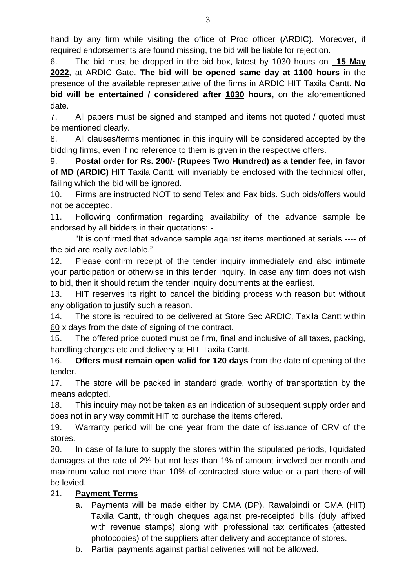hand by any firm while visiting the office of Proc officer (ARDIC). Moreover, if required endorsements are found missing, the bid will be liable for rejection.

6. The bid must be dropped in the bid box, latest by 1030 hours on **\_15 May 2022**, at ARDIC Gate. **The bid will be opened same day at 1100 hours** in the presence of the available representative of the firms in ARDIC HIT Taxila Cantt. **No bid will be entertained / considered after 1030 hours,** on the aforementioned date.

7. All papers must be signed and stamped and items not quoted / quoted must be mentioned clearly.

8. All clauses/terms mentioned in this inquiry will be considered accepted by the bidding firms, even if no reference to them is given in the respective offers.

9. **Postal order for Rs. 200/- (Rupees Two Hundred) as a tender fee, in favor of MD (ARDIC)** HIT Taxila Cantt, will invariably be enclosed with the technical offer, failing which the bid will be ignored.

10. Firms are instructed NOT to send Telex and Fax bids. Such bids/offers would not be accepted.

11. Following confirmation regarding availability of the advance sample be endorsed by all bidders in their quotations: -

"It is confirmed that advance sample against items mentioned at serials ---- of the bid are really available."

12. Please confirm receipt of the tender inquiry immediately and also intimate your participation or otherwise in this tender inquiry. In case any firm does not wish to bid, then it should return the tender inquiry documents at the earliest.

13. HIT reserves its right to cancel the bidding process with reason but without any obligation to justify such a reason.

14. The store is required to be delivered at Store Sec ARDIC, Taxila Cantt within 60 x days from the date of signing of the contract.

15. The offered price quoted must be firm, final and inclusive of all taxes, packing, handling charges etc and delivery at HIT Taxila Cantt.

16. **Offers must remain open valid for 120 days** from the date of opening of the tender.

17. The store will be packed in standard grade, worthy of transportation by the means adopted.

18. This inquiry may not be taken as an indication of subsequent supply order and does not in any way commit HIT to purchase the items offered.

19. Warranty period will be one year from the date of issuance of CRV of the stores.

20. In case of failure to supply the stores within the stipulated periods, liquidated damages at the rate of 2% but not less than 1% of amount involved per month and maximum value not more than 10% of contracted store value or a part there-of will be levied.

# 21. **Payment Terms**

- a. Payments will be made either by CMA (DP), Rawalpindi or CMA (HIT) Taxila Cantt, through cheques against pre-receipted bills (duly affixed with revenue stamps) along with professional tax certificates (attested photocopies) of the suppliers after delivery and acceptance of stores.
- b. Partial payments against partial deliveries will not be allowed.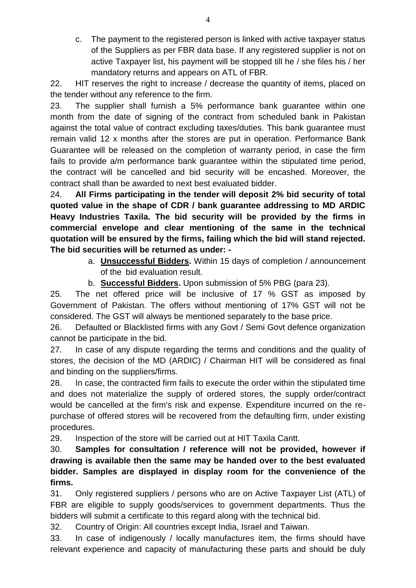c. The payment to the registered person is linked with active taxpayer status of the Suppliers as per FBR data base. If any registered supplier is not on active Taxpayer list, his payment will be stopped till he / she files his / her mandatory returns and appears on ATL of FBR.

22. HIT reserves the right to increase / decrease the quantity of items, placed on the tender without any reference to the firm.

23. The supplier shall furnish a 5% performance bank guarantee within one month from the date of signing of the contract from scheduled bank in Pakistan against the total value of contract excluding taxes/duties. This bank guarantee must remain valid 12 x months after the stores are put in operation. Performance Bank Guarantee will be released on the completion of warranty period, in case the firm fails to provide a/m performance bank guarantee within the stipulated time period, the contract will be cancelled and bid security will be encashed. Moreover, the contract shall than be awarded to next best evaluated bidder.

24. **All Firms participating in the tender will deposit 2% bid security of total quoted value in the shape of CDR / bank guarantee addressing to MD ARDIC Heavy Industries Taxila. The bid security will be provided by the firms in commercial envelope and clear mentioning of the same in the technical quotation will be ensured by the firms, failing which the bid will stand rejected. The bid securities will be returned as under: -**

- a. **Unsuccessful Bidders.** Within 15 days of completion / announcement of the bid evaluation result.
- b. **Successful Bidders.** Upon submission of 5% PBG (para 23).

25. The net offered price will be inclusive of 17 % GST as imposed by Government of Pakistan. The offers without mentioning of 17% GST will not be considered. The GST will always be mentioned separately to the base price.

26. Defaulted or Blacklisted firms with any Govt / Semi Govt defence organization cannot be participate in the bid.

27. In case of any dispute regarding the terms and conditions and the quality of stores, the decision of the MD (ARDIC) / Chairman HIT will be considered as final and binding on the suppliers/firms.

28. In case, the contracted firm fails to execute the order within the stipulated time and does not materialize the supply of ordered stores, the supply order/contract would be cancelled at the firm's risk and expense. Expenditure incurred on the repurchase of offered stores will be recovered from the defaulting firm, under existing procedures.

29. Inspection of the store will be carried out at HIT Taxila Cantt.

30. **Samples for consultation / reference will not be provided, however if drawing is available then the same may be handed over to the best evaluated bidder. Samples are displayed in display room for the convenience of the firms.**

31. Only registered suppliers / persons who are on Active Taxpayer List (ATL) of FBR are eligible to supply goods/services to government departments. Thus the bidders will submit a certificate to this regard along with the technical bid.

32. Country of Origin: All countries except India, Israel and Taiwan.

33. In case of indigenously / locally manufactures item, the firms should have relevant experience and capacity of manufacturing these parts and should be duly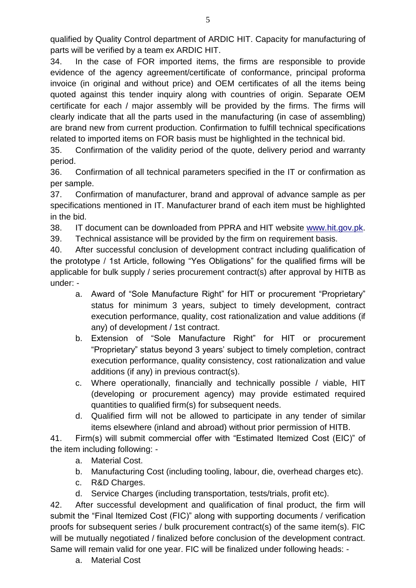qualified by Quality Control department of ARDIC HIT. Capacity for manufacturing of parts will be verified by a team ex ARDIC HIT.

5

34. In the case of FOR imported items, the firms are responsible to provide evidence of the agency agreement/certificate of conformance, principal proforma invoice (in original and without price) and OEM certificates of all the items being quoted against this tender inquiry along with countries of origin. Separate OEM certificate for each / major assembly will be provided by the firms. The firms will clearly indicate that all the parts used in the manufacturing (in case of assembling) are brand new from current production. Confirmation to fulfill technical specifications related to imported items on FOR basis must be highlighted in the technical bid.

35. Confirmation of the validity period of the quote, delivery period and warranty period.

36. Confirmation of all technical parameters specified in the IT or confirmation as per sample.

37. Confirmation of manufacturer, brand and approval of advance sample as per specifications mentioned in IT. Manufacturer brand of each item must be highlighted in the bid.

38. IT document can be downloaded from PPRA and HIT website [www.hit.gov.pk.](http://www.hit.gov.pk/)

39. Technical assistance will be provided by the firm on requirement basis.

40. After successful conclusion of development contract including qualification of the prototype / 1st Article, following "Yes Obligations" for the qualified firms will be applicable for bulk supply / series procurement contract(s) after approval by HITB as under: -

- a. Award of "Sole Manufacture Right" for HIT or procurement "Proprietary" status for minimum 3 years, subject to timely development, contract execution performance, quality, cost rationalization and value additions (if any) of development / 1st contract.
- b. Extension of "Sole Manufacture Right" for HIT or procurement "Proprietary" status beyond 3 years' subject to timely completion, contract execution performance, quality consistency, cost rationalization and value additions (if any) in previous contract(s).
- c. Where operationally, financially and technically possible / viable, HIT (developing or procurement agency) may provide estimated required quantities to qualified firm(s) for subsequent needs.
- d. Qualified firm will not be allowed to participate in any tender of similar items elsewhere (inland and abroad) without prior permission of HITB.

41. Firm(s) will submit commercial offer with "Estimated Itemized Cost (EIC)" of the item including following: -

- a. Material Cost.
- b. Manufacturing Cost (including tooling, labour, die, overhead charges etc).
- c. R&D Charges.
- d. Service Charges (including transportation, tests/trials, profit etc).

42. After successful development and qualification of final product, the firm will submit the "Final Itemized Cost (FIC)" along with supporting documents / verification proofs for subsequent series / bulk procurement contract(s) of the same item(s). FIC will be mutually negotiated / finalized before conclusion of the development contract. Same will remain valid for one year. FIC will be finalized under following heads: -

a. Material Cost